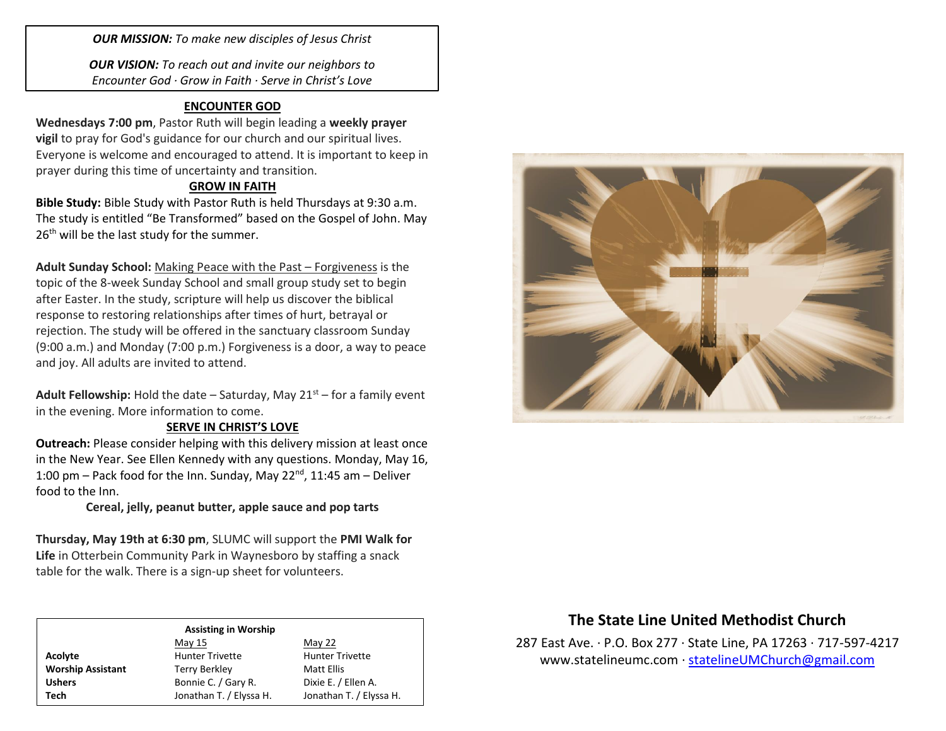*OUR MISSION: To make new disciples of Jesus Christ*

*OUR VISION: To reach out and invite our neighbors to Encounter God · Grow in Faith · Serve in Christ's Love*

#### **ENCOUNTER GOD**

**Wednesdays 7:00 pm**, Pastor Ruth will begin leading a **weekly prayer vigil** to pray for God's guidance for our church and our spiritual lives. Everyone is welcome and encouraged to attend. It is important to keep in prayer during this time of uncertainty and transition.

#### **GROW IN FAITH**

**Bible Study:** Bible Study with Pastor Ruth is held Thursdays at 9:30 a.m. The study is entitled "Be Transformed" based on the Gospel of John. May 26<sup>th</sup> will be the last study for the summer.

**Adult Sunday School:** Making Peace with the Past – Forgiveness is the topic of the 8-week Sunday School and small group study set to begin after Easter. In the study, scripture will help us discover the biblical response to restoring relationships after times of hurt, betrayal or rejection. The study will be offered in the sanctuary classroom Sunday (9:00 a.m.) and Monday (7:00 p.m.) Forgiveness is a door, a way to peace and joy. All adults are invited to attend.

**Adult Fellowship:** Hold the date  $-$  Saturday, May 21<sup>st</sup> – for a family event in the evening. More information to come.

## **SERVE IN CHRIST'S LOVE**

**Outreach:** Please consider helping with this delivery mission at least once in the New Year. See Ellen Kennedy with any questions. Monday, May 16, 1:00 pm – Pack food for the Inn. Sunday, May 22 $^{nd}$ , 11:45 am – Deliver food to the Inn.

### **Cereal, jelly, peanut butter, apple sauce and pop tarts**

**Thursday, May 19th at 6:30 pm**, SLUMC will support the **PMI Walk for Life** in Otterbein Community Park in Waynesboro by staffing a snack table for the walk. There is a sign-up sheet for volunteers.

#### **Assisting in Worship**

|                          | May 15                  | May 22                  |
|--------------------------|-------------------------|-------------------------|
| Acolyte                  | <b>Hunter Trivette</b>  | <b>Hunter Trivette</b>  |
| <b>Worship Assistant</b> | <b>Terry Berkley</b>    | Matt Ellis              |
| <b>Ushers</b>            | Bonnie C. / Gary R.     | Dixie E. / Ellen A.     |
| Tech                     | Jonathan T. / Elyssa H. | Jonathan T. / Elyssa H. |



# **The State Line United Methodist Church**

287 East Ave. · P.O. Box 277 · State Line, PA 17263 · 717-597-4217 [www.statelineumc.com](http://www.statelineumc.com/) · [statelineUMChurch@gmail.com](mailto:statelineUMChurch@gmail.com)